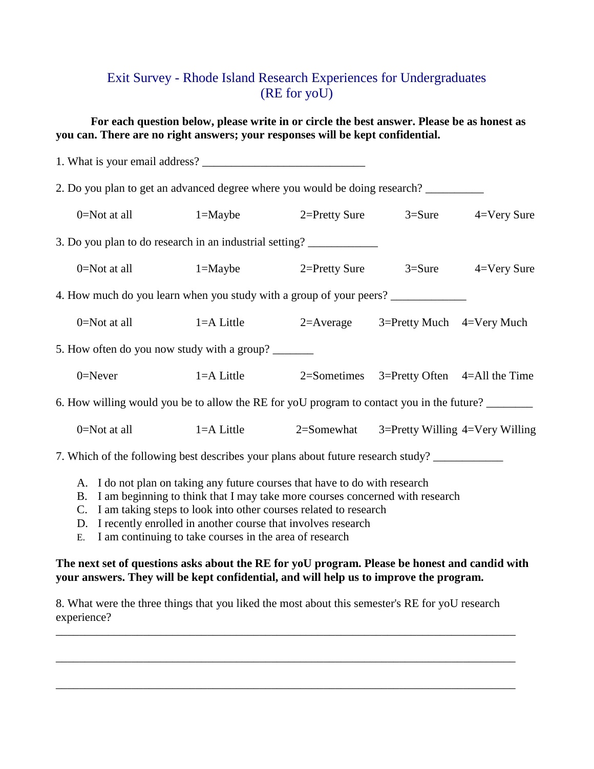## Exit Survey - Rhode Island Research Experiences for Undergraduates (RE for yoU)

**For each question below, please write in or circle the best answer. Please be as honest as you can. There are no right answers; your responses will be kept confidential.**

| 2. Do you plan to get an advanced degree where you would be doing research?               |                                                                             |  |
|-------------------------------------------------------------------------------------------|-----------------------------------------------------------------------------|--|
|                                                                                           | 0=Not at all 1=Maybe 2=Pretty Sure 3=Sure 4=Very Sure                       |  |
| 3. Do you plan to do research in an industrial setting?                                   |                                                                             |  |
|                                                                                           | 0=Not at all 1=Maybe 2=Pretty Sure 3=Sure 4=Very Sure                       |  |
| 4. How much do you learn when you study with a group of your peers? ____________          |                                                                             |  |
|                                                                                           | 0=Not at all 1=A Little 2=Average 3=Pretty Much 4=Very Much                 |  |
| 5. How often do you now study with a group?                                               |                                                                             |  |
|                                                                                           | 0=Never 1=A Little 2=Sometimes 3=Pretty Often 4=All the Time                |  |
| 6. How willing would you be to allow the RE for yoU program to contact you in the future? |                                                                             |  |
|                                                                                           | 0=Not at all 1=A Little 2=Somewhat 3=Pretty Willing 4=Very Willing          |  |
| 7. Which of the following best describes your plans about future research study?          |                                                                             |  |
|                                                                                           | A. I do not plan on taking any future courses that have to do with research |  |

- B. I am beginning to think that I may take more courses concerned with research
- C. I am taking steps to look into other courses related to research
- D. I recently enrolled in another course that involves research
- E. I am continuing to take courses in the area of research

## **The next set of questions asks about the RE for yoU program. Please be honest and candid with your answers. They will be kept confidential, and will help us to improve the program.**

8. What were the three things that you liked the most about this semester's RE for yoU research experience?

\_\_\_\_\_\_\_\_\_\_\_\_\_\_\_\_\_\_\_\_\_\_\_\_\_\_\_\_\_\_\_\_\_\_\_\_\_\_\_\_\_\_\_\_\_\_\_\_\_\_\_\_\_\_\_\_\_\_\_\_\_\_\_\_\_\_\_\_\_\_\_\_\_\_\_\_\_\_\_

\_\_\_\_\_\_\_\_\_\_\_\_\_\_\_\_\_\_\_\_\_\_\_\_\_\_\_\_\_\_\_\_\_\_\_\_\_\_\_\_\_\_\_\_\_\_\_\_\_\_\_\_\_\_\_\_\_\_\_\_\_\_\_\_\_\_\_\_\_\_\_\_\_\_\_\_\_\_\_

\_\_\_\_\_\_\_\_\_\_\_\_\_\_\_\_\_\_\_\_\_\_\_\_\_\_\_\_\_\_\_\_\_\_\_\_\_\_\_\_\_\_\_\_\_\_\_\_\_\_\_\_\_\_\_\_\_\_\_\_\_\_\_\_\_\_\_\_\_\_\_\_\_\_\_\_\_\_\_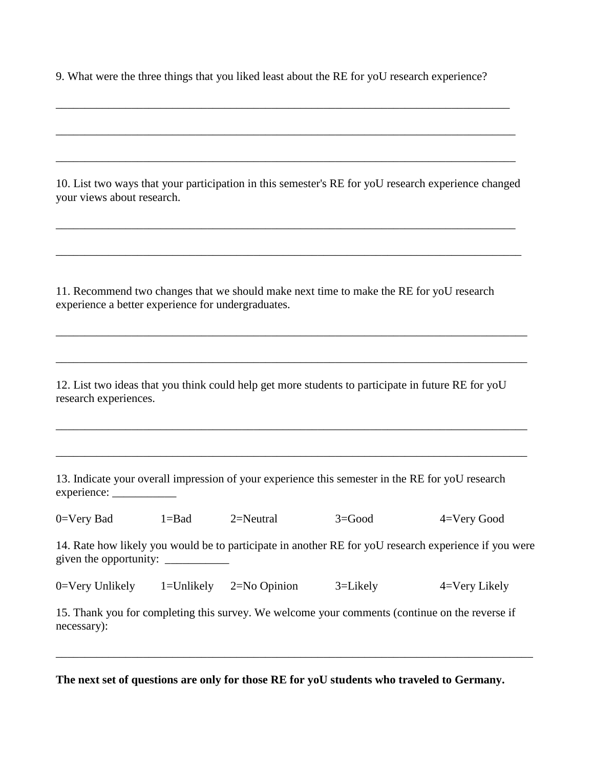9. What were the three things that you liked least about the RE for yoU research experience?

\_\_\_\_\_\_\_\_\_\_\_\_\_\_\_\_\_\_\_\_\_\_\_\_\_\_\_\_\_\_\_\_\_\_\_\_\_\_\_\_\_\_\_\_\_\_\_\_\_\_\_\_\_\_\_\_\_\_\_\_\_\_\_\_\_\_\_\_\_\_\_\_\_\_\_\_\_\_

\_\_\_\_\_\_\_\_\_\_\_\_\_\_\_\_\_\_\_\_\_\_\_\_\_\_\_\_\_\_\_\_\_\_\_\_\_\_\_\_\_\_\_\_\_\_\_\_\_\_\_\_\_\_\_\_\_\_\_\_\_\_\_\_\_\_\_\_\_\_\_\_\_\_\_\_\_\_\_

\_\_\_\_\_\_\_\_\_\_\_\_\_\_\_\_\_\_\_\_\_\_\_\_\_\_\_\_\_\_\_\_\_\_\_\_\_\_\_\_\_\_\_\_\_\_\_\_\_\_\_\_\_\_\_\_\_\_\_\_\_\_\_\_\_\_\_\_\_\_\_\_\_\_\_\_\_\_\_

10. List two ways that your participation in this semester's RE for yoU research experience changed your views about research.

\_\_\_\_\_\_\_\_\_\_\_\_\_\_\_\_\_\_\_\_\_\_\_\_\_\_\_\_\_\_\_\_\_\_\_\_\_\_\_\_\_\_\_\_\_\_\_\_\_\_\_\_\_\_\_\_\_\_\_\_\_\_\_\_\_\_\_\_\_\_\_\_\_\_\_\_\_\_\_

\_\_\_\_\_\_\_\_\_\_\_\_\_\_\_\_\_\_\_\_\_\_\_\_\_\_\_\_\_\_\_\_\_\_\_\_\_\_\_\_\_\_\_\_\_\_\_\_\_\_\_\_\_\_\_\_\_\_\_\_\_\_\_\_\_\_\_\_\_\_\_\_\_\_\_\_\_\_\_\_

\_\_\_\_\_\_\_\_\_\_\_\_\_\_\_\_\_\_\_\_\_\_\_\_\_\_\_\_\_\_\_\_\_\_\_\_\_\_\_\_\_\_\_\_\_\_\_\_\_\_\_\_\_\_\_\_\_\_\_\_\_\_\_\_\_\_\_\_\_\_\_\_\_\_\_\_\_\_\_\_\_

\_\_\_\_\_\_\_\_\_\_\_\_\_\_\_\_\_\_\_\_\_\_\_\_\_\_\_\_\_\_\_\_\_\_\_\_\_\_\_\_\_\_\_\_\_\_\_\_\_\_\_\_\_\_\_\_\_\_\_\_\_\_\_\_\_\_\_\_\_\_\_\_\_\_\_\_\_\_\_\_\_

\_\_\_\_\_\_\_\_\_\_\_\_\_\_\_\_\_\_\_\_\_\_\_\_\_\_\_\_\_\_\_\_\_\_\_\_\_\_\_\_\_\_\_\_\_\_\_\_\_\_\_\_\_\_\_\_\_\_\_\_\_\_\_\_\_\_\_\_\_\_\_\_\_\_\_\_\_\_\_\_\_

\_\_\_\_\_\_\_\_\_\_\_\_\_\_\_\_\_\_\_\_\_\_\_\_\_\_\_\_\_\_\_\_\_\_\_\_\_\_\_\_\_\_\_\_\_\_\_\_\_\_\_\_\_\_\_\_\_\_\_\_\_\_\_\_\_\_\_\_\_\_\_\_\_\_\_\_\_\_\_\_\_

11. Recommend two changes that we should make next time to make the RE for yoU research experience a better experience for undergraduates.

12. List two ideas that you think could help get more students to participate in future RE for yoU research experiences.

13. Indicate your overall impression of your experience this semester in the RE for yoU research experience: \_\_\_\_\_\_\_\_\_\_\_

0=Very Bad 1=Bad 2=Neutral 3=Good 4=Very Good

14. Rate how likely you would be to participate in another RE for yoU research experience if you were given the opportunity: \_\_\_\_\_\_\_\_\_\_\_

| $0 = \nVert \text{Very Unlike} \cdot \text{.}$<br>3=Likely<br>$1 =$ Unlikely<br>$2=N0$ Opinion | 4=Very Likely |
|------------------------------------------------------------------------------------------------|---------------|
|------------------------------------------------------------------------------------------------|---------------|

15. Thank you for completing this survey. We welcome your comments (continue on the reverse if necessary):

\_\_\_\_\_\_\_\_\_\_\_\_\_\_\_\_\_\_\_\_\_\_\_\_\_\_\_\_\_\_\_\_\_\_\_\_\_\_\_\_\_\_\_\_\_\_\_\_\_\_\_\_\_\_\_\_\_\_\_\_\_\_\_\_\_\_\_\_\_\_\_\_\_\_\_\_\_\_\_\_\_\_

**The next set of questions are only for those RE for yoU students who traveled to Germany.**